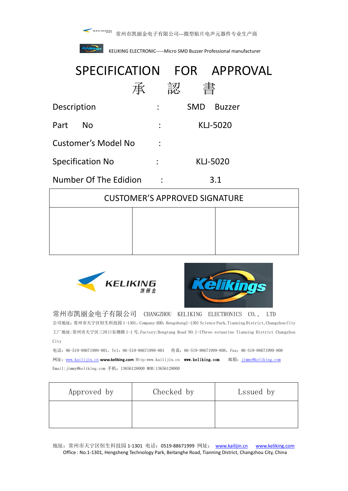

常州市凯丽金电子有限公司---微型贴片电声元器件专业生产商



**KELIKING ELECTRONIC-----Micro SMD Buzzer Professional manufacturer** 

# SPECIFICATION FOR APPROVAL 承 認 書 Description : SMD Buzzer Part No : KLJ-5020 Customer's Model No : Specification No  $\qquad \qquad :$  KLJ-5020 Number Of The Edidion : 3.1

| <b>CUSTOMER'S APPROVED SIGNATURE</b> |  |  |  |
|--------------------------------------|--|--|--|
|                                      |  |  |  |
|                                      |  |  |  |
|                                      |  |  |  |





# 常州市凯丽金电子有限公司 CHANGZHOU KELIKING ELECTRONICS CO., LTD

公司地址: 常州市天宁区恒生科技园 1-1301, Company ADD: Hengsheng1-1301 Science Park, Tianning District, Changzhou City 工厂地址:常州市天宁区三河口东塘路 1-1 号,Factory:Dongtang Road NO.1-1Three estuarine Tianning District Changzhou City

电话:86-519-88671999-801, Tel:86-519-88671999-801 传真:86-519-88671999-808, Fax:86-519-88671999-808 网址:www.kailijin.cn **www.keliking.com** Http:www.kailijin.cn www.keliking.com 邮箱:jimmy@keliking.com Email:jimmy@keliking.com 手机:13656128000 MOB:13656128000

| Approved by | Checked by | Lssued by |
|-------------|------------|-----------|
|             |            |           |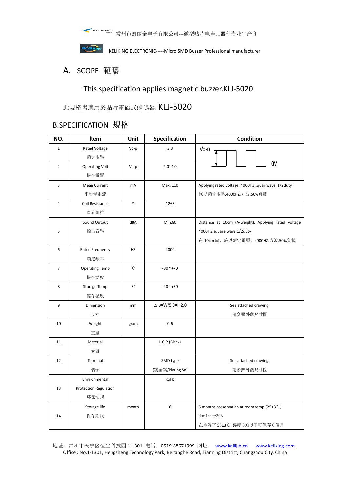



Kellkings<br>KELIKING ELECTRONIC-----Micro SMD Buzzer Professional manufacturer

## A. SCOPE 範疇

## This specification applies magnetic buzzer.KLJ-5020

此規格書適用於贴片電磁式蜂鳴器. KLJ-5020

# B.SPECIFICATION 规格

| NO.            | Item                  | Unit         | Specification    | Condition                                                       |  |
|----------------|-----------------------|--------------|------------------|-----------------------------------------------------------------|--|
| $\mathbf{1}$   | Rated Voltage         | Vo-p         | 3.3              | $Vo-p$                                                          |  |
|                | 額定電壓                  |              |                  |                                                                 |  |
| $\overline{2}$ | <b>Operating Volt</b> | Vo-p         | $2.0^{\sim}4.0$  | 0V                                                              |  |
|                | 操作電壓                  |              |                  |                                                                 |  |
| 3              | <b>Mean Current</b>   | mA           | Max. 110         | Applying rated voltage. 4000HZ squar wave. 1/2duty              |  |
|                | 平均耗電流                 |              |                  | 施以額定電壓.4000HZ.方波.50%負載                                          |  |
| $\sqrt{4}$     | Coil Resistance       | $\Omega$     | 12±3             |                                                                 |  |
|                | 直流阻抗                  |              |                  |                                                                 |  |
|                | Sound Output          | dBA          | <b>Min.80</b>    | Distance at 10cm (A-weight). Applying rated voltage             |  |
| 5              | 輸出音壓                  |              |                  | 4000HZ.square wave.1/2duty                                      |  |
|                |                       |              |                  | 在 10cm 處, 施以額定電壓。4000HZ.方波.50%負載                                |  |
| 6              | Rated Frequency       | HZ           | 4000             |                                                                 |  |
|                | 額定頻率                  |              |                  |                                                                 |  |
| $\overline{7}$ | <b>Operating Temp</b> | $^{\circ}$ C | $-30$ ~+70       |                                                                 |  |
|                | 操作温度                  |              |                  |                                                                 |  |
| 8              | Storage Temp          | $^{\circ}$ C | $-40$ ~+80       |                                                                 |  |
|                | 儲存温度                  |              |                  |                                                                 |  |
| 9              | Dimension             | mm           | L5.0×W/5.0×H2.0  | See attached drawing.                                           |  |
|                | 尺寸                    |              |                  | 請參照外觀尺寸圖                                                        |  |
| 10             | Weight                | gram         | 0.6              |                                                                 |  |
|                | 重量                    |              |                  |                                                                 |  |
| 11             | Material              |              | L.C.P (Black)    |                                                                 |  |
|                | 材質                    |              |                  |                                                                 |  |
| 12             | Terminal              |              | SMD type         | See attached drawing.                                           |  |
|                | 端子                    |              | (鍍全錫/Plating Sn) | 請參照外觀尺寸圖                                                        |  |
|                | Environmental         |              | RoHS             |                                                                 |  |
| 13             | Protection Regulation |              |                  |                                                                 |  |
|                | 环保法规                  |              |                  |                                                                 |  |
|                | Storage life          | month        | 6                | 6 months preservation at room temp. $(25\pm3\degree\text{C})$ . |  |
| 14             | 保存期限                  |              |                  | Humidity30%                                                     |  |
|                |                       |              |                  | 在室溫下 25±3℃. 湿度 30%以下可保存 6 個月                                    |  |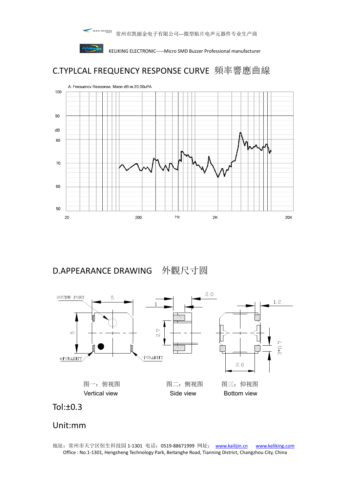



**KELIKING ELECTRONIC-----Micro SMD Buzzer Professional manufacturer** 

# C.TYPLCAL FREQUENCY RESPONSE CURVE 頻率響應曲線



D.APPEARANCE DRAWING 外觀尺寸圆





# Unit:mm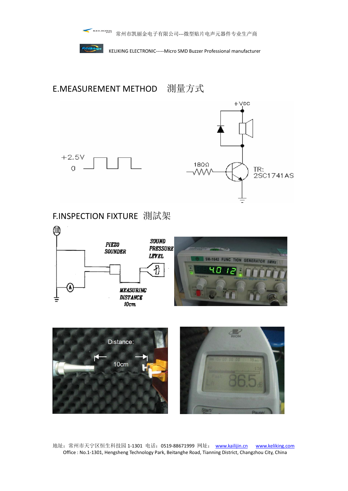

 $+2.5V$ 

 $\overline{O}$ 

KELIKING ELECTRONIC-----Micro SMD Buzzer Professional manufacturer

E.MEASUREMENT METHOD 測量方式



F.INSPECTION FIXTURE 測試架



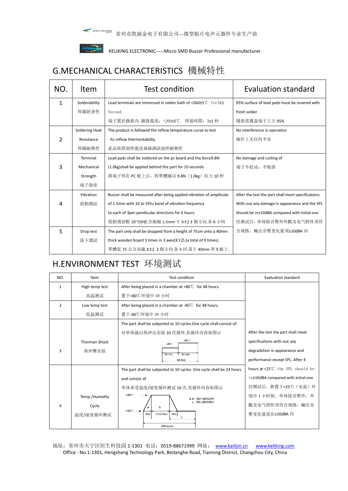

■ " " " " 常州市凯丽金电子有限公司---微型贴片电声元器件专业生产商



Kellkings<br>KELIKING ELECTRONIC-----Micro SMD Buzzer Professional manufacturer

# G.MECHANICAL CHARACTERISTICS 機械特性

| NO. | <b>Item</b>           | Test condition                                                                | Evaluation standard                               |  |
|-----|-----------------------|-------------------------------------------------------------------------------|---------------------------------------------------|--|
| 1   | Solderability         | Lead terminals are immersed in solder bath of $+260\pm5^{\circ}C$ for $3\pm1$ | 95% surface of lead pads must be covered with     |  |
|     | 焊錫附著性                 | Second.                                                                       | fresh solder                                      |  |
|     |                       | 端子置於錫膏內.錫膏溫度: +260±5℃. 焊接時間: 3±1 秒                                            | 锡膏需覆盖端子上方 95%                                     |  |
|     | <b>Soldering Heat</b> | The product is followed the reflow temperature curve to test                  | No interference in operation                      |  |
| 2   | Resistance            | Its reflow thermostability                                                    | 操作上无任何不良                                          |  |
|     | 焊錫耐熱性                 | 產品依照迴焊溫度曲線測試迴焊耐熱性                                                             |                                                   |  |
|     | Terminal              | Lead pads shall be soldered on the pc board.and the force9.8N                 | No damage and cutting of                          |  |
| 3   | Mechanical            | (1.0kg) shall be applied behind the part for 10 seconds                       | 端子不松动, 不脱落                                        |  |
|     | Strength              | 將端子焊在 PC 板上后, 對單體施以 9.8N (1.0kg) 拉力 10 秒                                      |                                                   |  |
|     | 端子強度                  |                                                                               |                                                   |  |
|     | Vibration             | Buzzer shall be measured after being applied vibration of amplitude           | After the test the part shall meet specifications |  |
| 4   | 震動測試                  | of 1.5mm with 10 to 55hz band of vibration frequency                          | With-out any damage in appearance and the SPL     |  |
|     |                       | to each of 3per-pendicular directions for 6 hours                             | Should be in±10dBA compared with initial one      |  |
|     |                       | 震動週波數 10~55HZ.全振幅 1.5mm 于 X.Y.Z 3 個方向.各 6 小時                                  | 经测试后, 单体除音壓外外觀及电气特性须符                             |  |
| 5   | Drop test             | The part only shall be dropped from a height of 75cm onto a 40mm              | 合规格, 輸出音壓变化量须±10dBA 内                             |  |
|     | 落下測試                  | thick wooden board 3 times in 3 axes(X.Y.Z).(a total of 9 times).             |                                                   |  |
|     |                       | 單體從 75 公分高處.X.Y.Z. 3 個方向.各 3 回.落于 40mm 厚木板上.                                  |                                                   |  |

# H.ENVIRONMENT TEST 环境测试

| NO.                                       | Item                                                     | Test condition                                                        | Evaluation standard                         |
|-------------------------------------------|----------------------------------------------------------|-----------------------------------------------------------------------|---------------------------------------------|
| $\mathbf{1}$                              | High temp test                                           | After being placed in a chamber at $+80^{\circ}$ for 48 hours.        |                                             |
|                                           | 高温测试                                                     | 置于+80℃环境中48小时                                                         |                                             |
| $\overline{2}$                            | Low temp test                                            | After being placed in a chamber at -40 $\degree$ C for 48 hours.      |                                             |
|                                           | 低温测试                                                     | 置于-40℃环境中 48 小时                                                       |                                             |
|                                           |                                                          | The part shall be subjected to 10 cycles. One cycle shall consist of: |                                             |
|                                           |                                                          | 对单体施以热冲击实验 10 次循环.其循环内容如图示                                            | After the test the part shall meet          |
|                                           | <b>Therman Shock</b>                                     | $+80^\circ$ C<br>$-40^{\circ}$ C                                      | specifications with-out any                 |
| ξ                                         | 热冲撃实验                                                    | 30 min.<br>30 min                                                     | degradation in appearance and               |
|                                           |                                                          | 60 min.                                                               | performance except SPL. After 4             |
|                                           |                                                          | The part shall be subjected to 10 cycles. One cycle shall be 24 hours | hours at $+25^{\circ}$ C, the SPL should be |
|                                           |                                                          | and consist of                                                        | in±10dBA compared with initial one          |
|                                           |                                                          | 单体承受温度/湿度循环测试 10 次.其循环内容如图示                                           | 经测试后,静置于+25℃ (室温)环                          |
| Temp./Humidity<br>Cycle<br>4<br>温度/湿度循环测试 | $+80^{\circ}$ C<br>a.b: 90~98%RH                         |                                                                       | 境中 4 小时候, 单体除音壓外, 外                         |
|                                           |                                                          | $c:80 - 98\%$ RH<br>b                                                 | 觀及电气特性须符合规格, 輸出音                            |
|                                           | $+25^{\circ}$ C -<br>3hrs<br>$12\pm0.5$ hrs<br>3hrs<br>c | 壓变化量需在±10dBA内                                                         |                                             |
|                                           |                                                          | 24hours                                                               |                                             |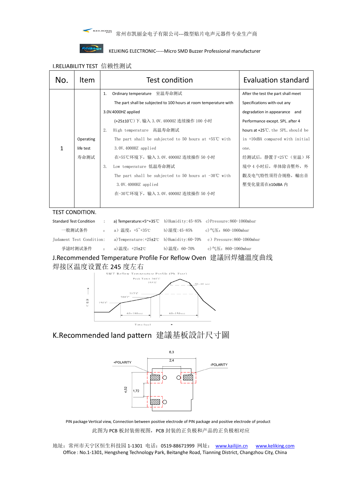

#### **KEIIKIngs**<br>KELIKING ELECTRONIC-----Micro SMD Buzzer Professional manufacturer

#### I.RELIABILITY TEST 信赖性测试

| No. | Item      | Test condition                                                    | <b>Evaluation standard</b>                   |
|-----|-----------|-------------------------------------------------------------------|----------------------------------------------|
|     |           | Ordinary temperature 室温寿命测试<br>1.                                 | After the test the part shall meet           |
|     |           | The part shall be subjected to 100 hours at room temperature with | Specifications with-out any                  |
|     |           | 3.0V.4000HZ applied                                               | degradation in appearance and                |
|     |           | (+25±10℃)下. 输入 3.0V. 4000HZ 连续操作 100 小时                           | Performance except. SPL. after 4             |
|     |           | 2.<br>High temperature 高温寿命测试                                     | hours at $+25^{\circ}$ C, the SPL, should be |
|     | Operating | The part shall be subjected to 50 hours at $+55^{\circ}$ C with   | in +10dBA compared with initial              |
| 1   | life test | 3.0V.4000HZ applied                                               | one.                                         |
|     | 寿命测试      | 在+55℃环境下, 输入 3.0V.4000HZ 连续操作 50 小时                               | 经测试后,静置于+25℃ (室温) 环                          |
|     |           | 3.<br>Low temperature 低温寿命测试                                      | 境中 4 小时后, 单体除音壓外, 外                          |
|     |           | The part shall be subjected to 50 hours at $-30^{\circ}$ C with   | 觀及电气特性须符合规格, 輸出音                             |
|     |           | 3.0V.4000HZ applied                                               | 壓变化量需在±10dBA 内                               |
|     |           | 在-30℃环境下, 输入 3.0V.4000HZ 连续操作 50 小时                               |                                              |
|     |           |                                                                   |                                              |

TEST CONDITION.

| <b>Standard Test Condition</b> |              |                                                  |               | a) Temperature: $+5$ <sup><math>\sim</math></sup> $+35$ °C b) Humidity: $45$ -85% c) Pressure:860-1060mbar |
|--------------------------------|--------------|--------------------------------------------------|---------------|------------------------------------------------------------------------------------------------------------|
| 一般测试条件                         |              | : a) 温度: +5 <sup>∼</sup> +35℃                    | b) 湿度: 45-85% | c)气压: 860-1060mbar                                                                                         |
| Judament Test Condition:       |              | a) Temperature: $+25\pm2$ °C b) Humidity: 60-70% |               | c) Pressure:860-1060mbar                                                                                   |
| 爭譩时测试条件                        | $\mathbf{r}$ | a)温度: +25±2℃                                     | b)温度: 60-70%  | c)气压: 860-1060mbar                                                                                         |

J.Recommended Temperature Profile For Reflow Oven 建議回焊爐溫度曲线 焊接区温度设置在 245 度左右



K.Recommended land pattern 建議基板設計尺寸圖



PIN package Vertical view, Connection between positive electrode of PIN package and positive electrode of product 此图为 PCB 板封装俯视图, PCB 封装的正负极和产品的正负极相对应